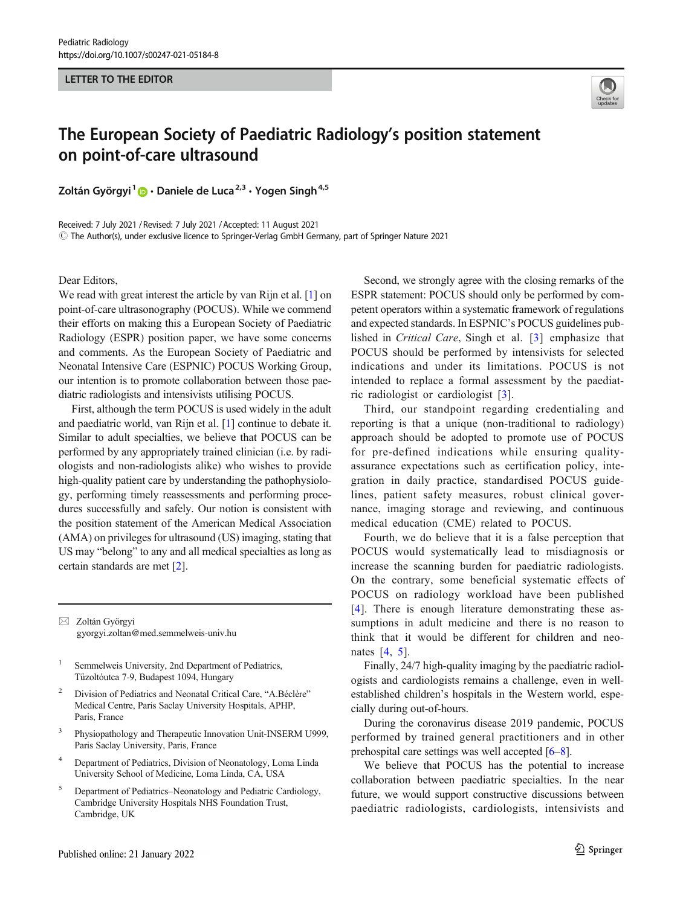## LETTER TO THE EDITOR



## The European Society of Paediatric Radiology's position statement on point-of-care ultrasound

Zoltán Györgyi<sup>1</sup>  $\bullet$  · Daniele de Luca<sup>2,3</sup> · Yogen Singh<sup>4,5</sup>

Received: 7 July 2021 / Revised: 7 July 2021 /Accepted: 11 August 2021  $\copyright$  The Author(s), under exclusive licence to Springer-Verlag GmbH Germany, part of Springer Nature 2021

Dear Editors,

We read with great interest the article by van Rijn et al. [[1\]](#page-1-0) on point-of-care ultrasonography (POCUS). While we commend their efforts on making this a European Society of Paediatric Radiology (ESPR) position paper, we have some concerns and comments. As the European Society of Paediatric and Neonatal Intensive Care (ESPNIC) POCUS Working Group, our intention is to promote collaboration between those paediatric radiologists and intensivists utilising POCUS.

First, although the term POCUS is used widely in the adult and paediatric world, van Rijn et al. [[1\]](#page-1-0) continue to debate it. Similar to adult specialties, we believe that POCUS can be performed by any appropriately trained clinician (i.e. by radiologists and non-radiologists alike) who wishes to provide high-quality patient care by understanding the pathophysiology, performing timely reassessments and performing procedures successfully and safely. Our notion is consistent with the position statement of the American Medical Association (AMA) on privileges for ultrasound (US) imaging, stating that US may "belong" to any and all medical specialties as long as certain standards are met [\[2](#page-1-0)].

 $\boxtimes$  Zoltán Györgyi [gyorgyi.zoltan@med.semmelweis-univ.hu](mailto:gyorgyi.zoltan@med.semmelweis-univ.hu)

<sup>1</sup> Semmelweis University, 2nd Department of Pediatrics, Tűzoltóutca 7-9, Budapest 1094, Hungary

- <sup>2</sup> Division of Pediatrics and Neonatal Critical Care, "A.Béclère" Medical Centre, Paris Saclay University Hospitals, APHP, Paris, France
- <sup>3</sup> Physiopathology and Therapeutic Innovation Unit-INSERM U999, Paris Saclay University, Paris, France
- <sup>4</sup> Department of Pediatrics, Division of Neonatology, Loma Linda University School of Medicine, Loma Linda, CA, USA
- <sup>5</sup> Department of Pediatrics–Neonatology and Pediatric Cardiology, Cambridge University Hospitals NHS Foundation Trust, Cambridge, UK

Second, we strongly agree with the closing remarks of the ESPR statement: POCUS should only be performed by competent operators within a systematic framework of regulations and expected standards. In ESPNIC's POCUS guidelines published in Critical Care, Singh et al. [\[3\]](#page-1-0) emphasize that POCUS should be performed by intensivists for selected indications and under its limitations. POCUS is not intended to replace a formal assessment by the paediatric radiologist or cardiologist [\[3\]](#page-1-0).

Third, our standpoint regarding credentialing and reporting is that a unique (non-traditional to radiology) approach should be adopted to promote use of POCUS for pre-defined indications while ensuring qualityassurance expectations such as certification policy, integration in daily practice, standardised POCUS guidelines, patient safety measures, robust clinical governance, imaging storage and reviewing, and continuous medical education (CME) related to POCUS.

Fourth, we do believe that it is a false perception that POCUS would systematically lead to misdiagnosis or increase the scanning burden for paediatric radiologists. On the contrary, some beneficial systematic effects of POCUS on radiology workload have been published [\[4\]](#page-1-0). There is enough literature demonstrating these assumptions in adult medicine and there is no reason to think that it would be different for children and neonates [[4,](#page-1-0) [5](#page-1-0)].

Finally, 24/7 high-quality imaging by the paediatric radiologists and cardiologists remains a challenge, even in wellestablished children's hospitals in the Western world, especially during out-of-hours.

During the coronavirus disease 2019 pandemic, POCUS performed by trained general practitioners and in other prehospital care settings was well accepted [[6](#page-1-0)–[8\]](#page-1-0).

We believe that POCUS has the potential to increase collaboration between paediatric specialties. In the near future, we would support constructive discussions between paediatric radiologists, cardiologists, intensivists and